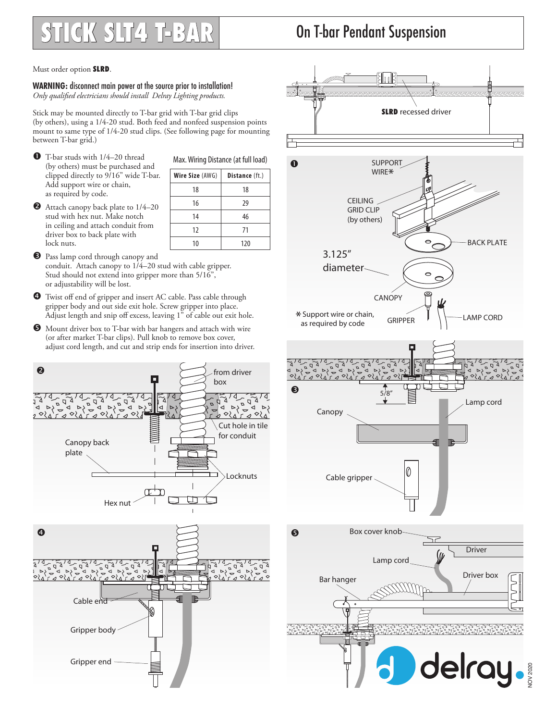## **STICK SLT4 T-BAR**

## On T-bar Pendant Suspension

Must order option SLRD.

**WARNING:** disconnect main power at the source prior to installation! *Only qualified electricians should install Delray Lighting products.*

Stick may be mounted directly to T-bar grid with T-bar grid clips (by others), using a 1/4-20 stud. Both feed and nonfeed suspension points mount to same type of 1/4-20 stud clips. (See following page for mounting between T-bar grid.)

**O** T-bar studs with 1/4–20 thread (by others) must be purchased and clipped directly to 9/16" wide T-bar. Add support wire or chain, as required by code.

| Wire Size (AWG) | Distance (ft.) |
|-----------------|----------------|
| 18              | 18             |
| 16              | 29             |
| 14              |                |

12 71 10 120

Max. Wiring Distance (at full load)

- Attach canopy back plate to  $1/4-20$ stud with hex nut. Make notch in ceiling and attach conduit from driver box to back plate with lock nuts.
- **D** Pass lamp cord through canopy and conduit. Attach canopy to 1/4–20 stud with cable gripper. Stud should not extend into gripper more than 5/16", or adjustability will be lost.
- Twist off end of gripper and insert AC cable. Pass cable through gripper body and out side exit hole. Screw gripper into place. Adjust length and snip off excess, leaving  $1^{\overline{p}}$  of cable out exit hole.
- Mount driver box to T-bar with bar hangers and attach with wire (or after market T-bar clips). Pull knob to remove box cover, adjust cord length, and cut and strip ends for insertion into driver.